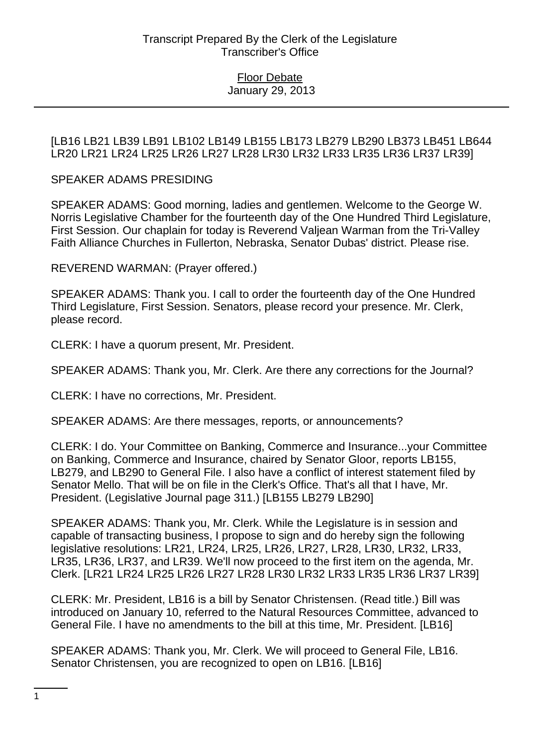[LB16 LB21 LB39 LB91 LB102 LB149 LB155 LB173 LB279 LB290 LB373 LB451 LB644 LR20 LR21 LR24 LR25 LR26 LR27 LR28 LR30 LR32 LR33 LR35 LR36 LR37 LR39]

### SPEAKER ADAMS PRESIDING

SPEAKER ADAMS: Good morning, ladies and gentlemen. Welcome to the George W. Norris Legislative Chamber for the fourteenth day of the One Hundred Third Legislature, First Session. Our chaplain for today is Reverend Valjean Warman from the Tri-Valley Faith Alliance Churches in Fullerton, Nebraska, Senator Dubas' district. Please rise.

REVEREND WARMAN: (Prayer offered.)

SPEAKER ADAMS: Thank you. I call to order the fourteenth day of the One Hundred Third Legislature, First Session. Senators, please record your presence. Mr. Clerk, please record.

CLERK: I have a quorum present, Mr. President.

SPEAKER ADAMS: Thank you, Mr. Clerk. Are there any corrections for the Journal?

CLERK: I have no corrections, Mr. President.

SPEAKER ADAMS: Are there messages, reports, or announcements?

CLERK: I do. Your Committee on Banking, Commerce and Insurance...your Committee on Banking, Commerce and Insurance, chaired by Senator Gloor, reports LB155, LB279, and LB290 to General File. I also have a conflict of interest statement filed by Senator Mello. That will be on file in the Clerk's Office. That's all that I have, Mr. President. (Legislative Journal page 311.) [LB155 LB279 LB290]

SPEAKER ADAMS: Thank you, Mr. Clerk. While the Legislature is in session and capable of transacting business, I propose to sign and do hereby sign the following legislative resolutions: LR21, LR24, LR25, LR26, LR27, LR28, LR30, LR32, LR33, LR35, LR36, LR37, and LR39. We'll now proceed to the first item on the agenda, Mr. Clerk. [LR21 LR24 LR25 LR26 LR27 LR28 LR30 LR32 LR33 LR35 LR36 LR37 LR39]

CLERK: Mr. President, LB16 is a bill by Senator Christensen. (Read title.) Bill was introduced on January 10, referred to the Natural Resources Committee, advanced to General File. I have no amendments to the bill at this time, Mr. President. [LB16]

SPEAKER ADAMS: Thank you, Mr. Clerk. We will proceed to General File, LB16. Senator Christensen, you are recognized to open on LB16. [LB16]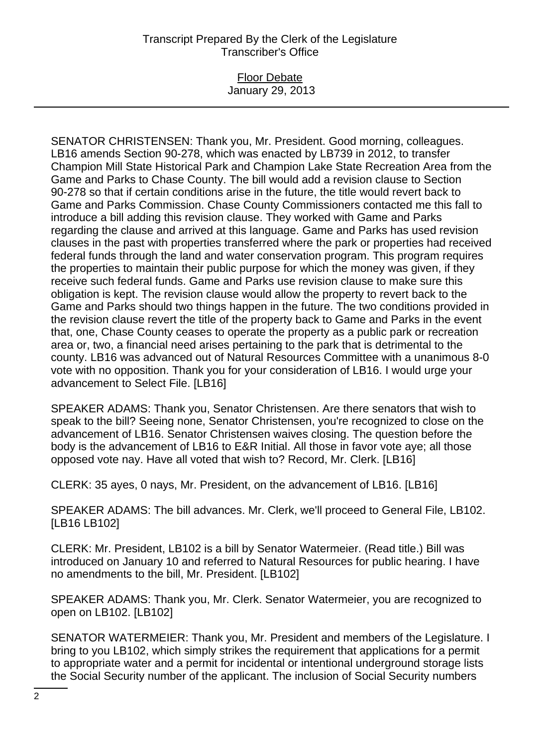# Transcript Prepared By the Clerk of the Legislature Transcriber's Office

## Floor Debate January 29, 2013

SENATOR CHRISTENSEN: Thank you, Mr. President. Good morning, colleagues. LB16 amends Section 90-278, which was enacted by LB739 in 2012, to transfer Champion Mill State Historical Park and Champion Lake State Recreation Area from the Game and Parks to Chase County. The bill would add a revision clause to Section 90-278 so that if certain conditions arise in the future, the title would revert back to Game and Parks Commission. Chase County Commissioners contacted me this fall to introduce a bill adding this revision clause. They worked with Game and Parks regarding the clause and arrived at this language. Game and Parks has used revision clauses in the past with properties transferred where the park or properties had received federal funds through the land and water conservation program. This program requires the properties to maintain their public purpose for which the money was given, if they receive such federal funds. Game and Parks use revision clause to make sure this obligation is kept. The revision clause would allow the property to revert back to the Game and Parks should two things happen in the future. The two conditions provided in the revision clause revert the title of the property back to Game and Parks in the event that, one, Chase County ceases to operate the property as a public park or recreation area or, two, a financial need arises pertaining to the park that is detrimental to the county. LB16 was advanced out of Natural Resources Committee with a unanimous 8-0 vote with no opposition. Thank you for your consideration of LB16. I would urge your advancement to Select File. [LB16]

SPEAKER ADAMS: Thank you, Senator Christensen. Are there senators that wish to speak to the bill? Seeing none, Senator Christensen, you're recognized to close on the advancement of LB16. Senator Christensen waives closing. The question before the body is the advancement of LB16 to E&R Initial. All those in favor vote aye; all those opposed vote nay. Have all voted that wish to? Record, Mr. Clerk. [LB16]

CLERK: 35 ayes, 0 nays, Mr. President, on the advancement of LB16. [LB16]

SPEAKER ADAMS: The bill advances. Mr. Clerk, we'll proceed to General File, LB102. [LB16 LB102]

CLERK: Mr. President, LB102 is a bill by Senator Watermeier. (Read title.) Bill was introduced on January 10 and referred to Natural Resources for public hearing. I have no amendments to the bill, Mr. President. [LB102]

SPEAKER ADAMS: Thank you, Mr. Clerk. Senator Watermeier, you are recognized to open on LB102. [LB102]

SENATOR WATERMEIER: Thank you, Mr. President and members of the Legislature. I bring to you LB102, which simply strikes the requirement that applications for a permit to appropriate water and a permit for incidental or intentional underground storage lists the Social Security number of the applicant. The inclusion of Social Security numbers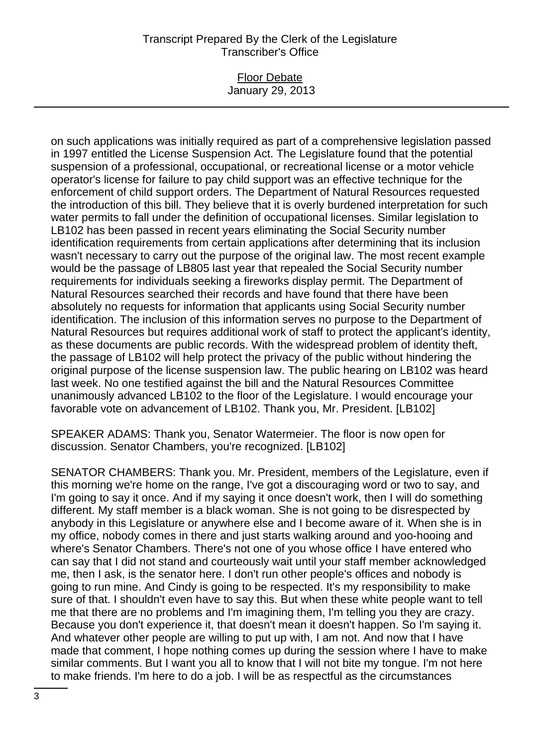## Transcript Prepared By the Clerk of the Legislature Transcriber's Office

## Floor Debate January 29, 2013

on such applications was initially required as part of a comprehensive legislation passed in 1997 entitled the License Suspension Act. The Legislature found that the potential suspension of a professional, occupational, or recreational license or a motor vehicle operator's license for failure to pay child support was an effective technique for the enforcement of child support orders. The Department of Natural Resources requested the introduction of this bill. They believe that it is overly burdened interpretation for such water permits to fall under the definition of occupational licenses. Similar legislation to LB102 has been passed in recent years eliminating the Social Security number identification requirements from certain applications after determining that its inclusion wasn't necessary to carry out the purpose of the original law. The most recent example would be the passage of LB805 last year that repealed the Social Security number requirements for individuals seeking a fireworks display permit. The Department of Natural Resources searched their records and have found that there have been absolutely no requests for information that applicants using Social Security number identification. The inclusion of this information serves no purpose to the Department of Natural Resources but requires additional work of staff to protect the applicant's identity, as these documents are public records. With the widespread problem of identity theft, the passage of LB102 will help protect the privacy of the public without hindering the original purpose of the license suspension law. The public hearing on LB102 was heard last week. No one testified against the bill and the Natural Resources Committee unanimously advanced LB102 to the floor of the Legislature. I would encourage your favorable vote on advancement of LB102. Thank you, Mr. President. [LB102]

SPEAKER ADAMS: Thank you, Senator Watermeier. The floor is now open for discussion. Senator Chambers, you're recognized. [LB102]

SENATOR CHAMBERS: Thank you. Mr. President, members of the Legislature, even if this morning we're home on the range, I've got a discouraging word or two to say, and I'm going to say it once. And if my saying it once doesn't work, then I will do something different. My staff member is a black woman. She is not going to be disrespected by anybody in this Legislature or anywhere else and I become aware of it. When she is in my office, nobody comes in there and just starts walking around and yoo-hooing and where's Senator Chambers. There's not one of you whose office I have entered who can say that I did not stand and courteously wait until your staff member acknowledged me, then I ask, is the senator here. I don't run other people's offices and nobody is going to run mine. And Cindy is going to be respected. It's my responsibility to make sure of that. I shouldn't even have to say this. But when these white people want to tell me that there are no problems and I'm imagining them, I'm telling you they are crazy. Because you don't experience it, that doesn't mean it doesn't happen. So I'm saying it. And whatever other people are willing to put up with, I am not. And now that I have made that comment, I hope nothing comes up during the session where I have to make similar comments. But I want you all to know that I will not bite my tongue. I'm not here to make friends. I'm here to do a job. I will be as respectful as the circumstances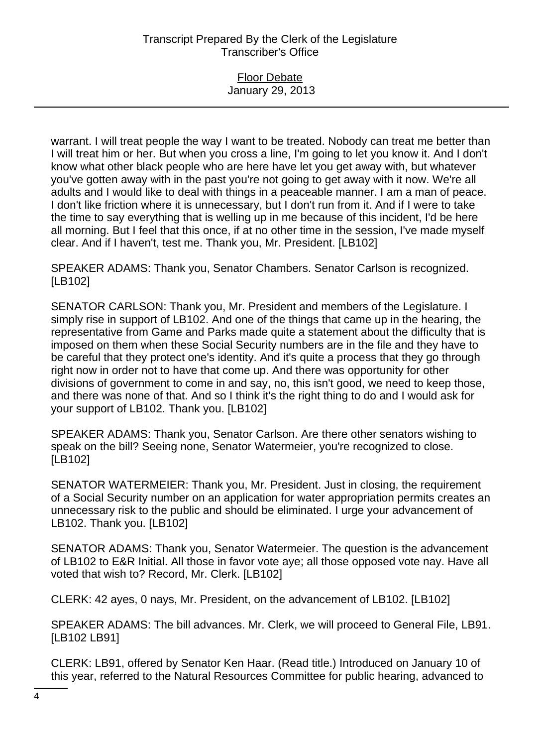# Transcript Prepared By the Clerk of the Legislature Transcriber's Office

### Floor Debate January 29, 2013

warrant. I will treat people the way I want to be treated. Nobody can treat me better than I will treat him or her. But when you cross a line, I'm going to let you know it. And I don't know what other black people who are here have let you get away with, but whatever you've gotten away with in the past you're not going to get away with it now. We're all adults and I would like to deal with things in a peaceable manner. I am a man of peace. I don't like friction where it is unnecessary, but I don't run from it. And if I were to take the time to say everything that is welling up in me because of this incident, I'd be here all morning. But I feel that this once, if at no other time in the session, I've made myself clear. And if I haven't, test me. Thank you, Mr. President. [LB102]

SPEAKER ADAMS: Thank you, Senator Chambers. Senator Carlson is recognized. [LB102]

SENATOR CARLSON: Thank you, Mr. President and members of the Legislature. I simply rise in support of LB102. And one of the things that came up in the hearing, the representative from Game and Parks made quite a statement about the difficulty that is imposed on them when these Social Security numbers are in the file and they have to be careful that they protect one's identity. And it's quite a process that they go through right now in order not to have that come up. And there was opportunity for other divisions of government to come in and say, no, this isn't good, we need to keep those, and there was none of that. And so I think it's the right thing to do and I would ask for your support of LB102. Thank you. [LB102]

SPEAKER ADAMS: Thank you, Senator Carlson. Are there other senators wishing to speak on the bill? Seeing none, Senator Watermeier, you're recognized to close. [LB102]

SENATOR WATERMEIER: Thank you, Mr. President. Just in closing, the requirement of a Social Security number on an application for water appropriation permits creates an unnecessary risk to the public and should be eliminated. I urge your advancement of LB102. Thank you. [LB102]

SENATOR ADAMS: Thank you, Senator Watermeier. The question is the advancement of LB102 to E&R Initial. All those in favor vote aye; all those opposed vote nay. Have all voted that wish to? Record, Mr. Clerk. [LB102]

CLERK: 42 ayes, 0 nays, Mr. President, on the advancement of LB102. [LB102]

SPEAKER ADAMS: The bill advances. Mr. Clerk, we will proceed to General File, LB91. [LB102 LB91]

CLERK: LB91, offered by Senator Ken Haar. (Read title.) Introduced on January 10 of this year, referred to the Natural Resources Committee for public hearing, advanced to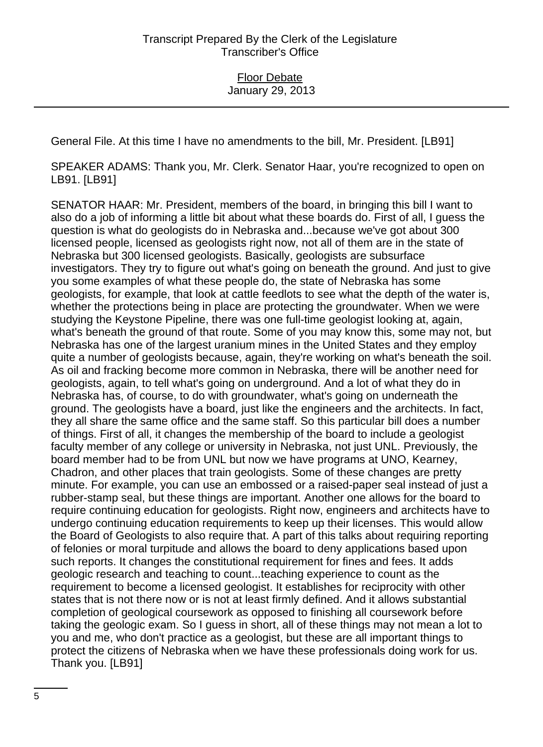General File. At this time I have no amendments to the bill, Mr. President. [LB91]

SPEAKER ADAMS: Thank you, Mr. Clerk. Senator Haar, you're recognized to open on LB91. [LB91]

SENATOR HAAR: Mr. President, members of the board, in bringing this bill I want to also do a job of informing a little bit about what these boards do. First of all, I guess the question is what do geologists do in Nebraska and...because we've got about 300 licensed people, licensed as geologists right now, not all of them are in the state of Nebraska but 300 licensed geologists. Basically, geologists are subsurface investigators. They try to figure out what's going on beneath the ground. And just to give you some examples of what these people do, the state of Nebraska has some geologists, for example, that look at cattle feedlots to see what the depth of the water is, whether the protections being in place are protecting the groundwater. When we were studying the Keystone Pipeline, there was one full-time geologist looking at, again, what's beneath the ground of that route. Some of you may know this, some may not, but Nebraska has one of the largest uranium mines in the United States and they employ quite a number of geologists because, again, they're working on what's beneath the soil. As oil and fracking become more common in Nebraska, there will be another need for geologists, again, to tell what's going on underground. And a lot of what they do in Nebraska has, of course, to do with groundwater, what's going on underneath the ground. The geologists have a board, just like the engineers and the architects. In fact, they all share the same office and the same staff. So this particular bill does a number of things. First of all, it changes the membership of the board to include a geologist faculty member of any college or university in Nebraska, not just UNL. Previously, the board member had to be from UNL but now we have programs at UNO, Kearney, Chadron, and other places that train geologists. Some of these changes are pretty minute. For example, you can use an embossed or a raised-paper seal instead of just a rubber-stamp seal, but these things are important. Another one allows for the board to require continuing education for geologists. Right now, engineers and architects have to undergo continuing education requirements to keep up their licenses. This would allow the Board of Geologists to also require that. A part of this talks about requiring reporting of felonies or moral turpitude and allows the board to deny applications based upon such reports. It changes the constitutional requirement for fines and fees. It adds geologic research and teaching to count...teaching experience to count as the requirement to become a licensed geologist. It establishes for reciprocity with other states that is not there now or is not at least firmly defined. And it allows substantial completion of geological coursework as opposed to finishing all coursework before taking the geologic exam. So I guess in short, all of these things may not mean a lot to you and me, who don't practice as a geologist, but these are all important things to protect the citizens of Nebraska when we have these professionals doing work for us. Thank you. [LB91]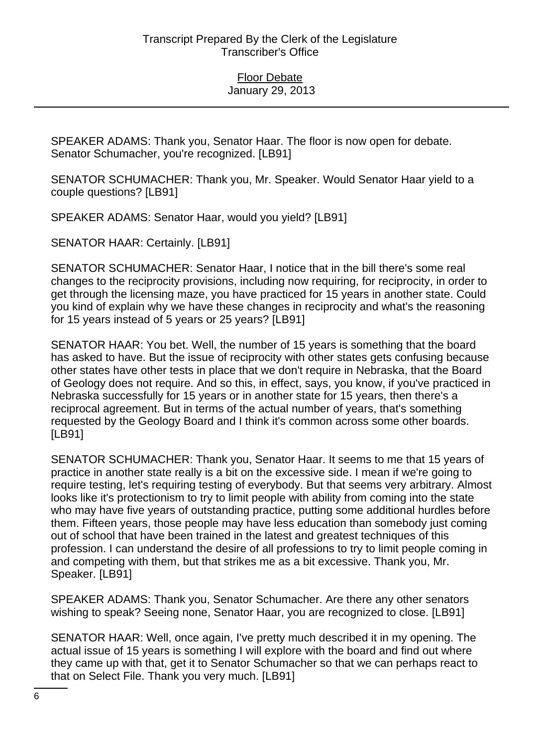SPEAKER ADAMS: Thank you, Senator Haar. The floor is now open for debate. Senator Schumacher, you're recognized. [LB91]

SENATOR SCHUMACHER: Thank you, Mr. Speaker. Would Senator Haar yield to a couple questions? [LB91]

SPEAKER ADAMS: Senator Haar, would you yield? [LB91]

SENATOR HAAR: Certainly. [LB91]

SENATOR SCHUMACHER: Senator Haar, I notice that in the bill there's some real changes to the reciprocity provisions, including now requiring, for reciprocity, in order to get through the licensing maze, you have practiced for 15 years in another state. Could you kind of explain why we have these changes in reciprocity and what's the reasoning for 15 years instead of 5 years or 25 years? [LB91]

SENATOR HAAR: You bet. Well, the number of 15 years is something that the board has asked to have. But the issue of reciprocity with other states gets confusing because other states have other tests in place that we don't require in Nebraska, that the Board of Geology does not require. And so this, in effect, says, you know, if you've practiced in Nebraska successfully for 15 years or in another state for 15 years, then there's a reciprocal agreement. But in terms of the actual number of years, that's something requested by the Geology Board and I think it's common across some other boards. [LB91]

SENATOR SCHUMACHER: Thank you, Senator Haar. It seems to me that 15 years of practice in another state really is a bit on the excessive side. I mean if we're going to require testing, let's requiring testing of everybody. But that seems very arbitrary. Almost looks like it's protectionism to try to limit people with ability from coming into the state who may have five years of outstanding practice, putting some additional hurdles before them. Fifteen years, those people may have less education than somebody just coming out of school that have been trained in the latest and greatest techniques of this profession. I can understand the desire of all professions to try to limit people coming in and competing with them, but that strikes me as a bit excessive. Thank you, Mr. Speaker. [LB91]

SPEAKER ADAMS: Thank you, Senator Schumacher. Are there any other senators wishing to speak? Seeing none, Senator Haar, you are recognized to close. [LB91]

SENATOR HAAR: Well, once again, I've pretty much described it in my opening. The actual issue of 15 years is something I will explore with the board and find out where they came up with that, get it to Senator Schumacher so that we can perhaps react to that on Select File. Thank you very much. [LB91]